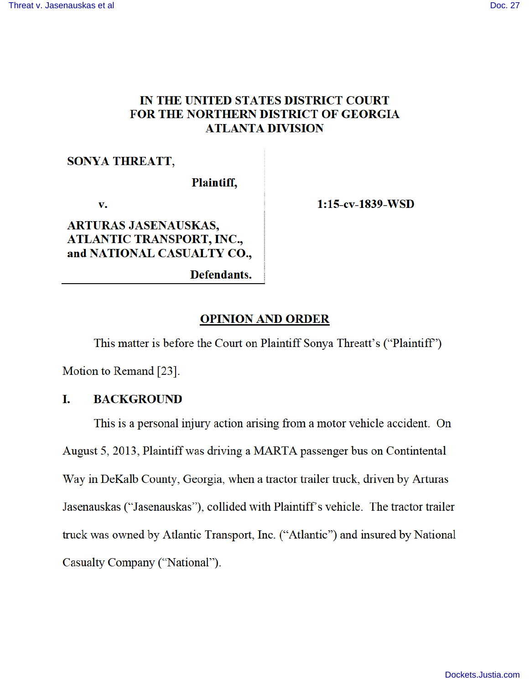## IN THE UNITED STATES DISTRICT COURT FOR THE NORTHERN DISTRICT OF GEORGIA **ATLANTA DIVISION**

### **SONYA THREATT,**

Plaintiff,

v.

**ARTURAS JASENAUSKAS, ATLANTIC TRANSPORT, INC.,** and NATIONAL CASUALTY CO.,  $1:15$ -cv-1839-WSD

Defendants.

### **OPINION AND ORDER**

This matter is before the Court on Plaintiff Sonya Threatt's ("Plaintiff") Motion to Remand [23].

#### L. **BACKGROUND**

This is a personal injury action arising from a motor vehicle accident. On August 5, 2013, Plaintiff was driving a MARTA passenger bus on Contintental Way in DeKalb County, Georgia, when a tractor trailer truck, driven by Arturas Jasenauskas ("Jasenauskas"), collided with Plaintiff's vehicle. The tractor trailer truck was owned by Atlantic Transport, Inc. ("Atlantic") and insured by National Casualty Company ("National").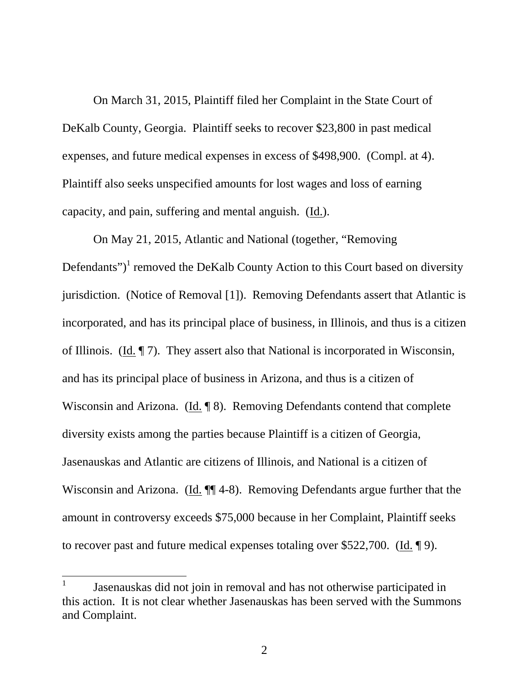On March 31, 2015, Plaintiff filed her Complaint in the State Court of DeKalb County, Georgia. Plaintiff seeks to recover \$23,800 in past medical expenses, and future medical expenses in excess of \$498,900. (Compl. at 4). Plaintiff also seeks unspecified amounts for lost wages and loss of earning capacity, and pain, suffering and mental anguish. (Id.).

On May 21, 2015, Atlantic and National (together, "Removing Defendants")<sup>1</sup> removed the DeKalb County Action to this Court based on diversity jurisdiction. (Notice of Removal [1]). Removing Defendants assert that Atlantic is incorporated, and has its principal place of business, in Illinois, and thus is a citizen of Illinois. (Id. ¶ 7). They assert also that National is incorporated in Wisconsin, and has its principal place of business in Arizona, and thus is a citizen of Wisconsin and Arizona. (Id. ¶ 8). Removing Defendants contend that complete diversity exists among the parties because Plaintiff is a citizen of Georgia, Jasenauskas and Atlantic are citizens of Illinois, and National is a citizen of Wisconsin and Arizona. (Id.  $\P$ ] 4-8). Removing Defendants argue further that the amount in controversy exceeds \$75,000 because in her Complaint, Plaintiff seeks to recover past and future medical expenses totaling over \$522,700. (Id. ¶ 9).

 $\overline{a}$ 

<sup>1</sup> Jasenauskas did not join in removal and has not otherwise participated in this action. It is not clear whether Jasenauskas has been served with the Summons and Complaint.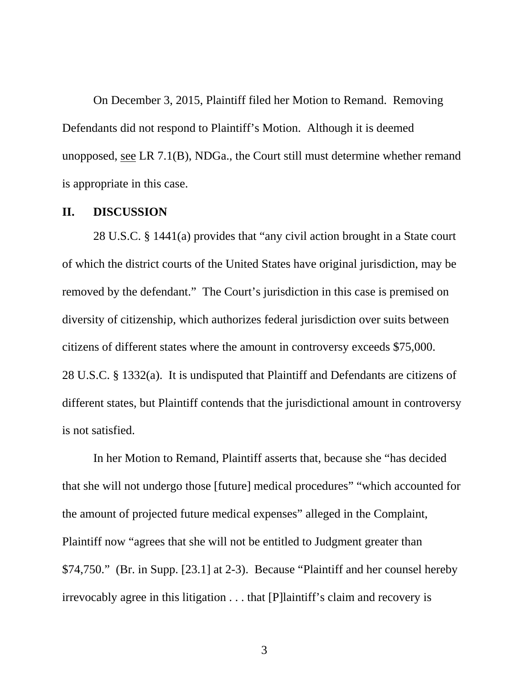On December 3, 2015, Plaintiff filed her Motion to Remand. Removing Defendants did not respond to Plaintiff's Motion. Although it is deemed unopposed, see LR 7.1(B), NDGa., the Court still must determine whether remand is appropriate in this case.

### **II. DISCUSSION**

28 U.S.C. § 1441(a) provides that "any civil action brought in a State court of which the district courts of the United States have original jurisdiction, may be removed by the defendant." The Court's jurisdiction in this case is premised on diversity of citizenship, which authorizes federal jurisdiction over suits between citizens of different states where the amount in controversy exceeds \$75,000. 28 U.S.C. § 1332(a). It is undisputed that Plaintiff and Defendants are citizens of different states, but Plaintiff contends that the jurisdictional amount in controversy is not satisfied.

In her Motion to Remand, Plaintiff asserts that, because she "has decided that she will not undergo those [future] medical procedures" "which accounted for the amount of projected future medical expenses" alleged in the Complaint, Plaintiff now "agrees that she will not be entitled to Judgment greater than \$74,750." (Br. in Supp. [23.1] at 2-3). Because "Plaintiff and her counsel hereby irrevocably agree in this litigation . . . that [P]laintiff's claim and recovery is

3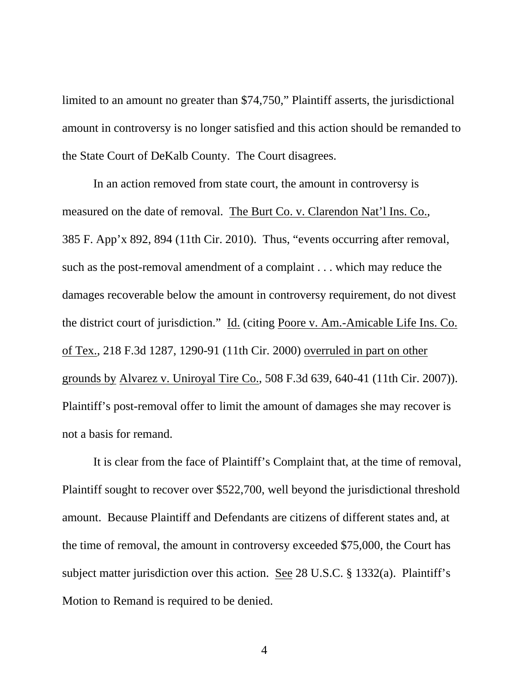limited to an amount no greater than \$74,750," Plaintiff asserts, the jurisdictional amount in controversy is no longer satisfied and this action should be remanded to the State Court of DeKalb County. The Court disagrees.

In an action removed from state court, the amount in controversy is measured on the date of removal. The Burt Co. v. Clarendon Nat'l Ins. Co., 385 F. App'x 892, 894 (11th Cir. 2010). Thus, "events occurring after removal, such as the post-removal amendment of a complaint . . . which may reduce the damages recoverable below the amount in controversy requirement, do not divest the district court of jurisdiction." Id. (citing Poore v. Am.-Amicable Life Ins. Co. of Tex., 218 F.3d 1287, 1290-91 (11th Cir. 2000) overruled in part on other grounds by Alvarez v. Uniroyal Tire Co., 508 F.3d 639, 640-41 (11th Cir. 2007)). Plaintiff's post-removal offer to limit the amount of damages she may recover is not a basis for remand.

It is clear from the face of Plaintiff's Complaint that, at the time of removal, Plaintiff sought to recover over \$522,700, well beyond the jurisdictional threshold amount. Because Plaintiff and Defendants are citizens of different states and, at the time of removal, the amount in controversy exceeded \$75,000, the Court has subject matter jurisdiction over this action. See 28 U.S.C. § 1332(a). Plaintiff's Motion to Remand is required to be denied.